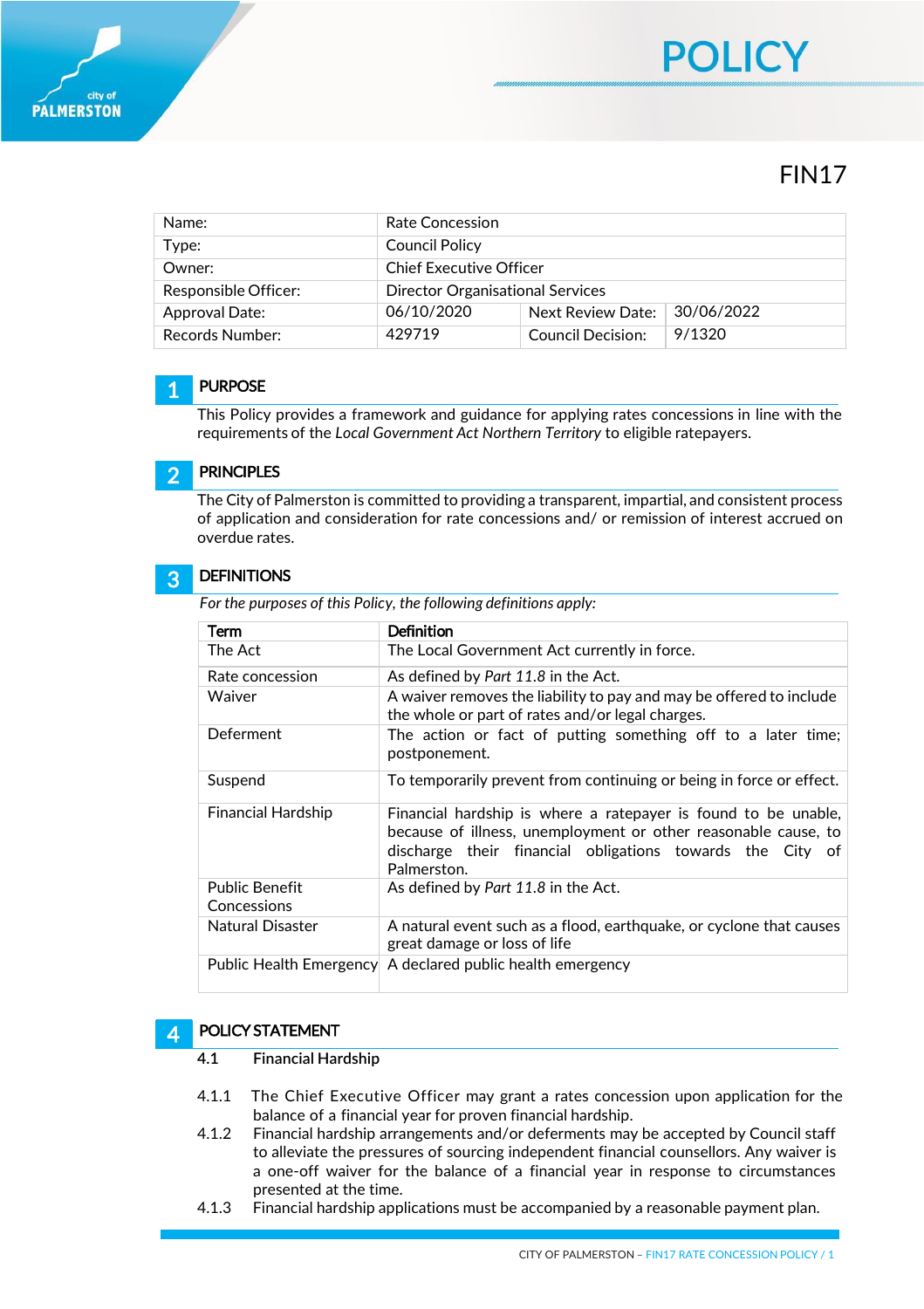

| Name:                | Rate Concession                         |                   |            |
|----------------------|-----------------------------------------|-------------------|------------|
| Type:                | Council Policy                          |                   |            |
| Owner:               | <b>Chief Executive Officer</b>          |                   |            |
| Responsible Officer: | <b>Director Organisational Services</b> |                   |            |
| Approval Date:       | 06/10/2020                              | Next Review Date: | 30/06/2022 |
| Records Number:      | 429719                                  | Council Decision: | 9/1320     |

### 1 **PURPOSE**

This Policy provides a framework and guidance for applying rates concessions in line with the requirements of the *Local Government Act Northern Territory* to eligible ratepayers.

### 2 PRINCIPLES

The City of Palmerston is committed to providing a transparent, impartial, and consistent process of application and consideration for rate concessions and/ or remission of interest accrued on overdue rates.

### 3 **DEFINITIONS**

*For the purposes of this Policy, the following definitions apply:*

| Term                                 | Definition                                                                                                                                                                                                   |
|--------------------------------------|--------------------------------------------------------------------------------------------------------------------------------------------------------------------------------------------------------------|
| The Act                              | The Local Government Act currently in force.                                                                                                                                                                 |
| Rate concession                      | As defined by Part 11.8 in the Act.                                                                                                                                                                          |
| Waiver                               | A waiver removes the liability to pay and may be offered to include<br>the whole or part of rates and/or legal charges.                                                                                      |
| Deferment                            | The action or fact of putting something off to a later time;<br>postponement.                                                                                                                                |
| Suspend                              | To temporarily prevent from continuing or being in force or effect.                                                                                                                                          |
| <b>Financial Hardship</b>            | Financial hardship is where a ratepayer is found to be unable,<br>because of illness, unemployment or other reasonable cause, to<br>discharge their financial obligations towards the City of<br>Palmerston. |
| <b>Public Benefit</b><br>Concessions | As defined by Part 11.8 in the Act.                                                                                                                                                                          |
| Natural Disaster                     | A natural event such as a flood, earthquake, or cyclone that causes<br>great damage or loss of life                                                                                                          |
|                                      | Public Health Emergency A declared public health emergency                                                                                                                                                   |

### 4 POLICY STATEMENT

- **4.1 Financial Hardship**
- 4.1.1 The Chief Executive Officer may grant a rates concession upon application for the balance of a financial year for proven financial hardship.
- 4.1.2 Financial hardship arrangements and/or deferments may be accepted by Council staff to alleviate the pressures of sourcing independent financial counsellors. Any waiver is a one-off waiver for the balance of a financial year in response to circumstances presented at the time.
- 4.1.3 Financial hardship applications must be accompanied by a reasonable payment plan.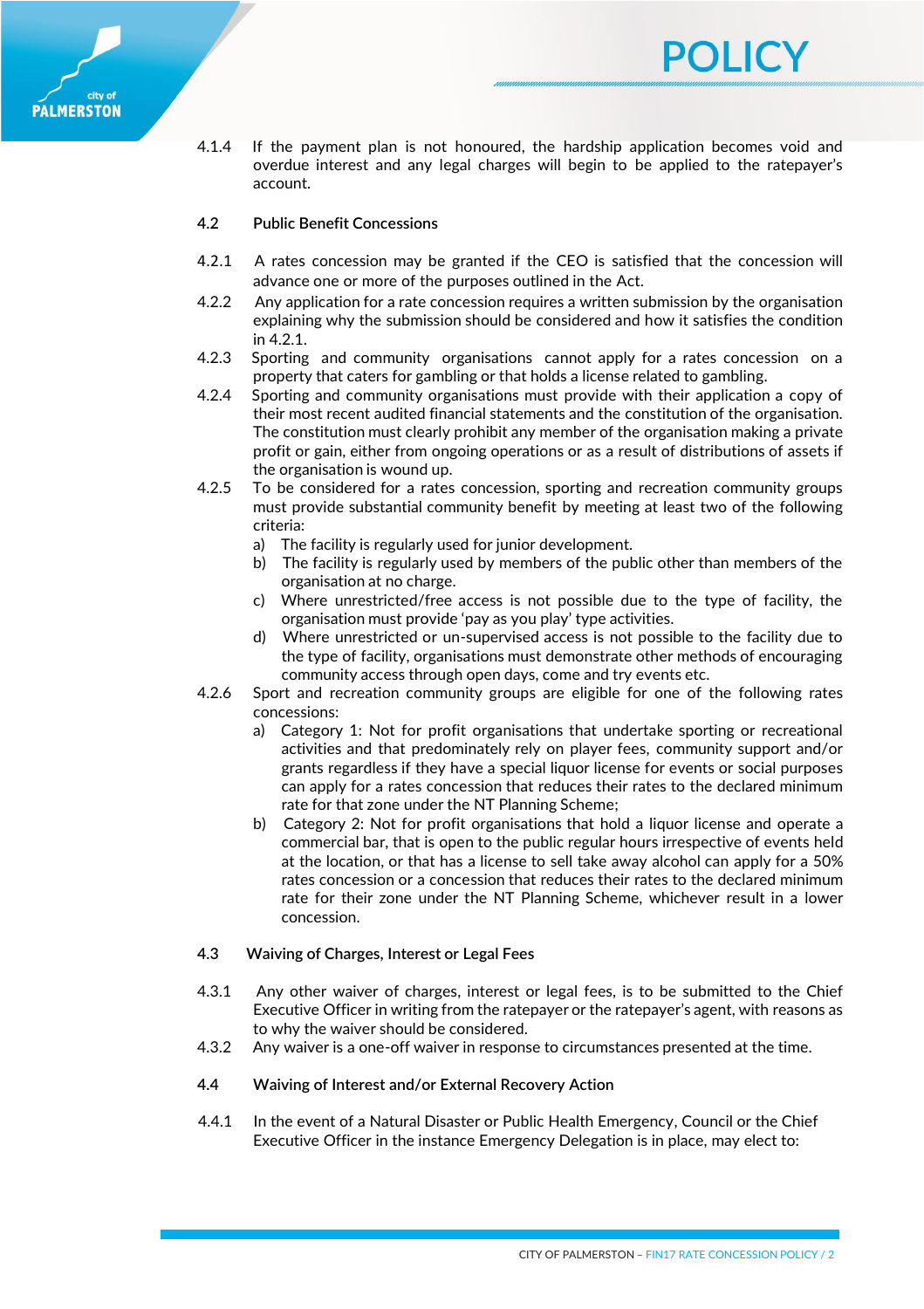

4.1.4 If the payment plan is not honoured, the hardship application becomes void and overdue interest and any legal charges will begin to be applied to the ratepayer's account.

POLICY

# **4.2 Public Benefit Concessions**

- 4.2.1 A rates concession may be granted if the CEO is satisfied that the concession will advance one or more of the purposes outlined in the Act.
- 4.2.2 Any application for a rate concession requires a written submission by the organisation explaining why the submission should be considered and how it satisfies the condition in 4.2.1.
- 4.2.3 Sporting and community organisations cannot apply for a rates concession on a property that caters for gambling or that holds a license related to gambling.
- 4.2.4 Sporting and community organisations must provide with their application a copy of their most recent audited financial statements and the constitution of the organisation. The constitution must clearly prohibit any member of the organisation making a private profit or gain, either from ongoing operations or as a result of distributions of assets if the organisation is wound up.
- 4.2.5 To be considered for a rates concession, sporting and recreation community groups must provide substantial community benefit by meeting at least two of the following criteria:
	- a) The facility is regularly used for junior development.
	- b) The facility is regularly used by members of the public other than members of the organisation at no charge.
	- c) Where unrestricted/free access is not possible due to the type of facility, the organisation must provide 'pay as you play' type activities.
	- d) Where unrestricted or un-supervised access is not possible to the facility due to the type of facility, organisations must demonstrate other methods of encouraging community access through open days, come and try events etc.
- 4.2.6 Sport and recreation community groups are eligible for one of the following rates concessions:
	- a) Category 1: Not for profit organisations that undertake sporting or recreational activities and that predominately rely on player fees, community support and/or grants regardless if they have a special liquor license for events or social purposes can apply for a rates concession that reduces their rates to the declared minimum rate for that zone under the NT Planning Scheme;
	- b) Category 2: Not for profit organisations that hold a liquor license and operate a commercial bar, that is open to the public regular hours irrespective of events held at the location, or that has a license to sell take away alcohol can apply for a 50% rates concession or a concession that reduces their rates to the declared minimum rate for their zone under the NT Planning Scheme, whichever result in a lower concession.

# **4.3 Waiving of Charges, Interest or Legal Fees**

- 4.3.1 Any other waiver of charges, interest or legal fees, is to be submitted to the Chief Executive Officer in writing from the ratepayer or the ratepayer's agent, with reasons as to why the waiver should be considered.
- 4.3.2 Any waiver is a one-off waiver in response to circumstances presented at the time.

# **4.4 Waiving of Interest and/or External Recovery Action**

4.4.1 In the event of a Natural Disaster or Public Health Emergency, Council or the Chief Executive Officer in the instance Emergency Delegation is in place, may elect to: